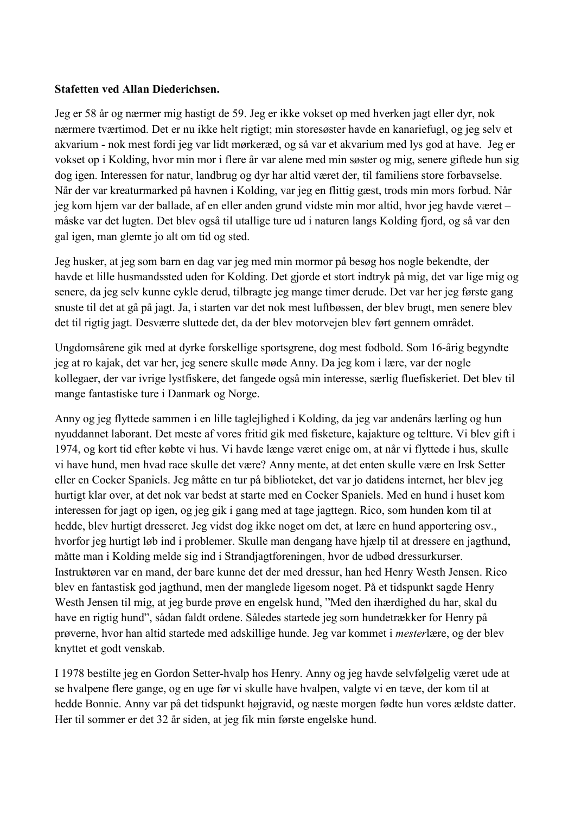## Stafetten ved Allan Diederichsen.

Jeg er 58 år og nærmer mig hastigt de 59. Jeg er ikke vokset op med hverken jagt eller dyr, nok nærmere tværtimod. Det er nu ikke helt rigtigt; min storesøster havde en kanariefugl, og jeg selv et akvarium - nok mest fordi jeg var lidt mørkeræd, og så var et akvarium med lys god at have. Jeg er vokset op i Kolding, hvor min mor i flere år var alene med min søster og mig, senere giftede hun sig dog igen. Interessen for natur, landbrug og dyr har altid været der, til familiens store forbayselse. Når der var kreaturmarked på havnen i Kolding, var jeg en flittig gæst, trods min mors forbud. Når jeg kom hjem var der ballade, af en eller anden grund vidste min mor altid, hvor jeg havde været – måske var det lugten. Det blev også til utallige ture ud i naturen langs Kolding fjord, og så var den gal igen, man glemte jo alt om tid og sted.

Jeg husker, at jeg som barn en dag var jeg med min mormor på besøg hos nogle bekendte, der havde et lille husmandssted uden for Kolding. Det gjorde et stort indtryk på mig, det var lige mig og senere, da jeg selv kunne cykle derud, tilbragte jeg mange timer derude. Det var her jeg første gang snuste til det at gå på jagt. Ja, i starten var det nok mest luftbøssen, der blev brugt, men senere blev det til rigtig jagt. Desværre sluttede det, da der blev motorvejen blev ført gennem området.

Ungdomsårene gik med at dyrke forskellige sportsgrene, dog mest fodbold. Som 16-årig begyndte jeg at ro kajak, det var her, jeg senere skulle møde Anny. Da jeg kom i lære, var der nogle kollegaer, der var ivrige lystfiskere, det fangede også min interesse, særlig fluefiskeriet. Det blev til mange fantastiske ture i Danmark og Norge.

Anny og jeg flyttede sammen i en lille taglejlighed i Kolding, da jeg var andenårs lærling og hun nyuddannet laborant. Det meste af vores fritid gik med fisketure, kajakture og teltture. Vi blev gift i 1974, og kort tid efter købte vi hus. Vi havde længe været enige om, at når vi flyttede i hus, skulle vi have hund, men hvad race skulle det være? Anny mente, at det enten skulle være en Irsk Setter eller en Cocker Spaniels. Jeg måtte en tur på biblioteket, det var jo datidens internet, her blev jeg hurtigt klar over, at det nok var bedst at starte med en Cocker Spaniels. Med en hund i huset kom interessen for jagt op igen, og jeg gik i gang med at tage jagttegn. Rico, som hunden kom til at hedde, blev hurtigt dresseret. Jeg vidst dog ikke noget om det, at lære en hund apportering osv., hvorfor jeg hurtigt løb ind i problemer. Skulle man dengang have hjælp til at dressere en jagthund, måtte man i Kolding melde sig ind i Strandjagtforeningen, hvor de udbød dressurkurser. Instruktøren var en mand, der bare kunne det der med dressur, han hed Henry Westh Jensen. Rico blev en fantastisk god jagthund, men der manglede ligesom noget. På et tidspunkt sagde Henry Westh Jensen til mig, at jeg burde prøve en engelsk hund, "Med den ihærdighed du har, skal du have en rigtig hund", sådan faldt ordene. Således startede jeg som hundetrækker for Henry på prøverne, hvor han altid startede med adskillige hunde. Jeg var kommet i *mesterlære*, og der blev knyttet et godt venskab.

I 1978 bestilte jeg en Gordon Setter-hvalp hos Henry. Anny og jeg havde selvfølgelig været ude at se hvalpene flere gange, og en uge før vi skulle have hvalpen, valgte vi en tæve, der kom til at hedde Bonnie. Anny var på det tidspunkt højgravid, og næste morgen fødte hun vores ældste datter. Her til sommer er det 32 år siden, at jeg fik min første engelske hund.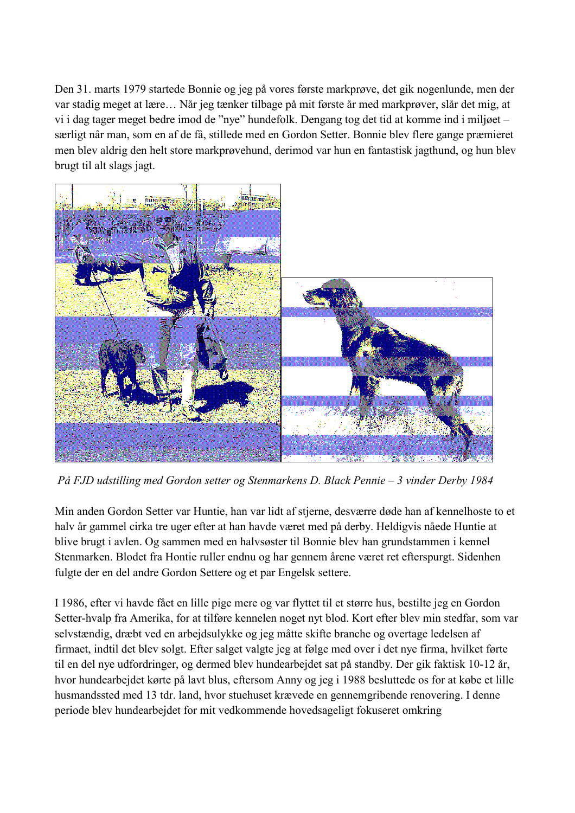Den 31. marts 1979 startede Bonnie og jeg på vores første markprøve, det gik nogenlunde, men der var stadig meget at lære... Når jeg tænker tilbage på mit første år med markprøver, slår det mig, at vi i dag tager meget bedre imod de "nye" hundefolk. Dengang tog det tid at komme ind i miljøet – særligt når man, som en af de få, stillede med en Gordon Setter. Bonnie blev flere gange præmieret men blev aldrig den helt store markprøvehund, derimod var hun en fantastisk jagthund, og hun blev brugt til alt slags jagt.



På FJD udstilling med Gordon setter og Stenmarkens D. Black Pennie – 3 vinder Derby 1984

Min anden Gordon Setter var Huntie, han var lidt af stjerne, desværre døde han af kennelhoste to et halv år gammel cirka tre uger efter at han havde været med på derby. Heldigvis nåede Huntie at blive brugt i avlen. Og sammen med en halvsøster til Bonnie blev han grundstammen i kennel Stenmarken. Blodet fra Hontie ruller endnu og har gennem årene været ret efterspurgt. Sidenhen fulgte der en del andre Gordon Settere og et par Engelsk settere.

I 1986, efter vi havde fået en lille pige mere og var flyttet til et større hus, bestilte jeg en Gordon Setter-hvalp fra Amerika, for at tilføre kennelen noget nyt blod. Kort efter blev min stedfar, som var selvstændig, dræbt ved en arbejdsulykke og jeg måtte skifte branche og overtage ledelsen af firmaet, indtil det blev solgt. Efter salget valgte jeg at følge med over i det nye firma, hvilket førte til en del nye udfordringer, og dermed blev hundearbejdet sat på standby. Der gik faktisk 10-12 år, hvor hundearbejdet kørte på lavt blus, eftersom Anny og jeg i 1988 besluttede os for at købe et lille husmandssted med 13 tdr. land, hvor stuehuset krævede en gennemgribende renovering. I denne periode blev hundearbeidet for mit vedkommende hovedsageligt fokuseret omkring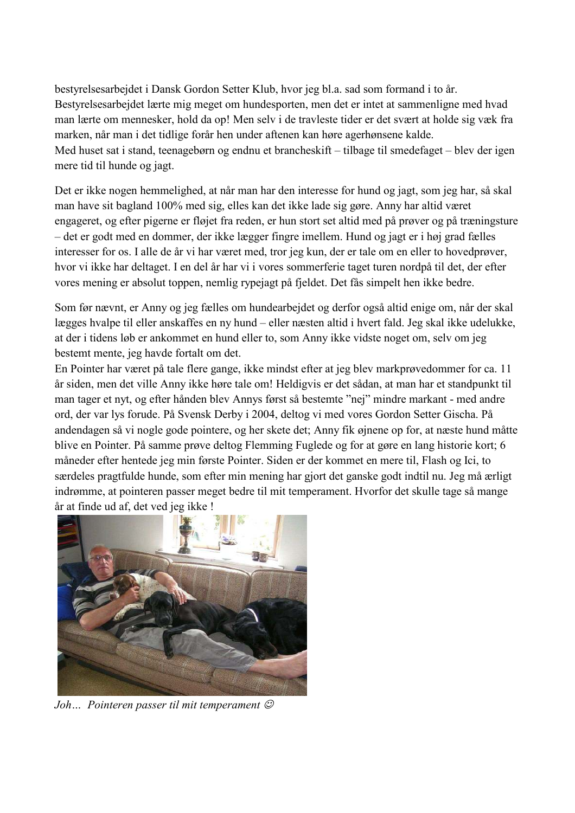bestyrelsesarbejdet i Dansk Gordon Setter Klub, hvor jeg bl.a. sad som formand i to år. Bestyrelsesarbejdet lærte mig meget om hundesporten, men det er intet at sammenligne med hvad man lærte om mennesker, hold da op! Men selv i de travleste tider er det svært at holde sig væk fra marken, når man i det tidlige forår hen under aftenen kan høre agerhønsene kalde. Med huset sat i stand, teenagebørn og endnu et brancheskift – tilbage til smedefaget – blev der igen mere tid til hunde og jagt.

Det er ikke nogen hemmelighed, at når man har den interesse for hund og jagt, som jeg har, så skal man have sit bagland 100% med sig, elles kan det ikke lade sig gøre. Anny har altid været engageret, og efter pigerne er fløjet fra reden, er hun stort set altid med på prøver og på træningsture - det er godt med en dommer, der ikke lægger fingre imellem. Hund og jagt er i høj grad fælles interesser for os. I alle de år vi har været med, tror jeg kun, der er tale om en eller to hovedprøver, hvor vi ikke har deltaget. I en del år har vi i vores sommerferie taget turen nordpå til det, der efter vores mening er absolut toppen, nemlig rypejagt på fjeldet. Det fås simpelt hen ikke bedre.

Som før nævnt, er Anny og jeg fælles om hundearbejdet og derfor også altid enige om, når der skal lægges hvalpe til eller anskaffes en ny hund – eller næsten altid i hvert fald. Jeg skal ikke udelukke, at der i tidens løb er ankommet en hund eller to, som Anny ikke vidste noget om, selv om jeg bestemt mente, jeg havde fortalt om det.

En Pointer har været på tale flere gange, ikke mindst efter at jeg blev markprøvedommer for ca. 11 år siden, men det ville Anny ikke høre tale om! Heldigvis er det sådan, at man har et standpunkt til man tager et nyt, og efter hånden blev Annys først så bestemte "nej" mindre markant - med andre ord, der var lys forude. På Svensk Derby i 2004, deltog vi med vores Gordon Setter Gischa. På andendagen så vi nogle gode pointere, og her skete det; Anny fik øjnene op for, at næste hund måtte blive en Pointer. På samme prøve deltog Flemming Fuglede og for at gøre en lang historie kort; 6 måneder efter hentede jeg min første Pointer. Siden er der kommet en mere til, Flash og Ici, to særdeles pragtfulde hunde, som efter min mening har gjort det ganske godt indtil nu. Jeg må ærligt indrømme, at pointeren passer meget bedre til mit temperament. Hvorfor det skulle tage så mange år at finde ud af, det ved jeg ikke !



Joh... Pointeren passer til mit temperament  $\mathcal{O}$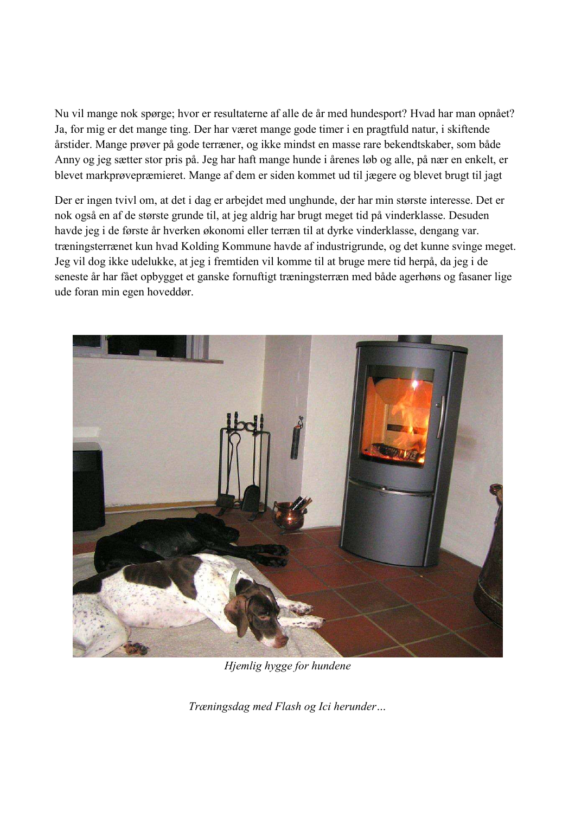Nu vil mange nok spørge; hvor er resultaterne af alle de år med hundesport? Hvad har man opnået? Ja, for mig er det mange ting. Der har været mange gode timer i en pragtfuld natur, i skiftende årstider. Mange prøver på gode terræner, og ikke mindst en masse rare bekendtskaber, som både Anny og jeg sætter stor pris på. Jeg har haft mange hunde i årenes løb og alle, på nær en enkelt, er blevet markprøvepræmieret. Mange af dem er siden kommet ud til jægere og blevet brugt til jagt

Der er ingen tvivl om, at det i dag er arbejdet med unghunde, der har min største interesse. Det er nok også en af de største grunde til, at jeg aldrig har brugt meget tid på vinderklasse. Desuden havde jeg i de første år hverken økonomi eller terræn til at dyrke vinderklasse, dengang var. træningsterrænet kun hvad Kolding Kommune havde af industrigrunde, og det kunne svinge meget. Jeg vil dog ikke udelukke, at jeg i fremtiden vil komme til at bruge mere tid herpå, da jeg i de seneste år har fået opbygget et ganske fornuftigt træningsterræn med både agerhøns og fasaner lige ude foran min egen hoveddør.



Hjemlig hygge for hundene

Træningsdag med Flash og Ici herunder...